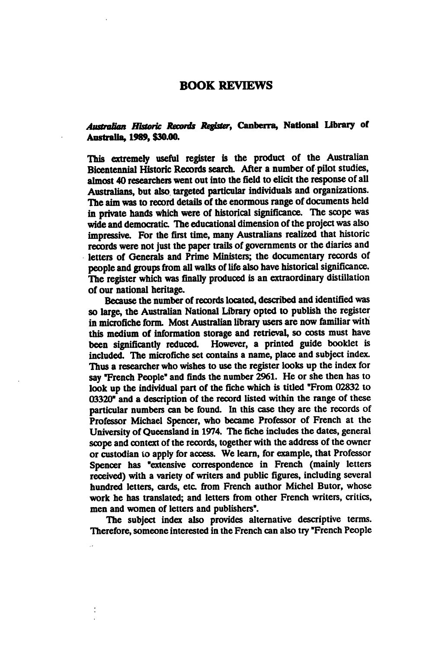## BOOK REVIEWS

## Australian Historic Records Register, Canberra, National library of Australia, 1989, \$30.00.

This extremely useful register is the product of the Australian Bicentennial Historic Records search. After a number of pilot studies, almost 40 researchers went out into the field to elicit the response of all Australians, but also targeted particular individuals and organizations. The aim was to record details of the enormous range of documents held in private hands which were of historical significance. The scope was wide and democratic. The educational dimension of the project was also impressive. For the first time, many Australians realized that historic records were not just the paper trails of governments or the diaries and letters of Generals and Prime Ministers; the documentary records of people and groups from all walks of life also have historical significance. The register which was finally produced is an extraordinary distillation of our national heritage.

Because the number of records located, described and identified was so large, the Australian National Library opted to publish the register in microfiche form. Most Australian library users are now familiar with this medium of information storage and retrieval, so costs must have been significantly reduced. However, a printed guide booklet is included. The microfiche set contains a name, place and subject index. Thus a researcher who wishes to use the register looks up the index for say "French People" and finds the number 2961. He or she then has to look up the individual part of the fiche which is titled "From 02832 to 03320" and description of the record listed within the range of these particular numbers can be found. In this case they are the records of Professor Michael Spencer, who became Professor of French at the University of Queensland in 1974. The fiche includes the dates, general scope and context of the records, together with the address of the owner or custodian to apply for access. We learn, for example, that Professor Spencer has "extensive correspondence in French (mainly letters received) with a variety of writers and public figures, including several hundred letters, cards, etc. from French author Michel Butor, whose work he has translated; and letters from other French writers, critics, men and women of letters and publishers".

The subject index also provides alternative descriptive terms. Therefore, someone interested in the French can also try "French People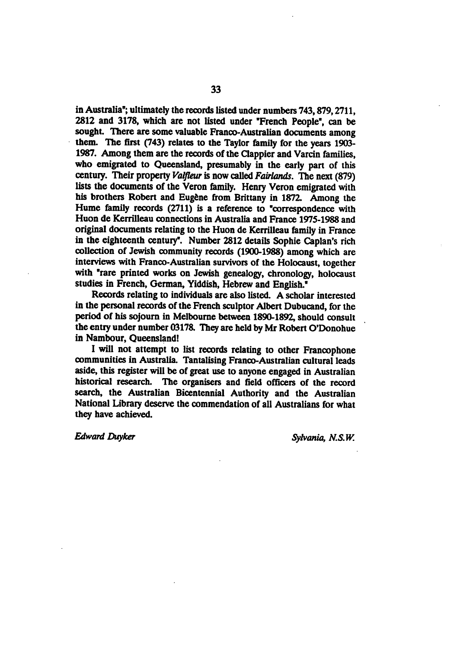in Australia"; ultimately the records listed under numbers 743,879,2711, 2812 and 3178, which are not listed under "French People", can be sought. There are some valuable Franco-Australian documents among them. The first (743) relates to the Taylor family for the years 1903- 1987. Among them are the records of the Clappier and Varcin families, who emigrated to Queensland, presumably in the early part of this century. Their property Valfleur is now called Fairlands. The next (879) lists the documents of the Veron family. Henry Veron emigrated with his brothers Robert and Eugène from Brittany in 1872. Among the Hume family records  $(2711)$  is a reference to "correspondence with Huon de Kerrilleau connections in Australia and France 1975-1988 and original documents relating to the Huon de Kerrilleau family in France in the eighteenth century". Number 2812 details Sophie Caplan's rich collection of Jewish community records (1900-1988) among which are interviews with Franco-Australian survivors of the Holocaust, together with "rare printed works on Jewish genealogy, chronology, holocaust studies in French, German, Yiddish, Hebrew and English."

Records relating to individuals are also listed. A scholar interested in the personal records of the French sculptor Albert Dubucand, for the period of his sojourn in Melbourne between 1890-1892, should consult the entry under number 03178. They are held by Mr Robert O'Donohue in Nambour, Queensland!

will not attempt to list records relating to other Francophone communities in Australia. Tantalising Franco-Australian cultural leads aside, this register will be of great use to anyone engaged in Australian historical research. The organisers and field officers of the record search, the Australian Bicentennial Authority and the Australian National Library deserve the commendation of all Australians for what they have achieved.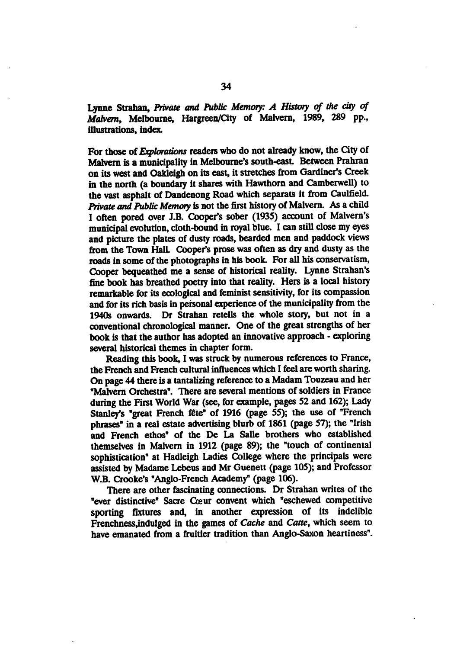Lynne Strahan, Private and Public Memory: A History of the city of Malvern, Melbourne, Hargreen/City of Malvern, 1989, 289 pp., illustrations, index

For those of Explorations readers who do not already know, the City of Malvern is a municipality in Melbourne's south-east. Between Prahran on its west and Oakleigh on its east, it stretches from Gardiner's Creek in the north (a boundary it shares with Hawthorn and Camberwell) to the vast asphalt of Dandenong Road which separate it from Caulfield. Private and Public Memory is not the first history of Malvern. As a child I often pored over J.B. Cooper's sober (1935) account of Malvern's municipal evolution, cloth-bound in royal blue. I can still close my eyes and picture the plates of dusty roads, bearded men and paddock views from the Town Hall. Cooper's prose was often as dry and dusty as the roads in some of the photographs in his book. For all his conservatism, Cooper bequeathed me a sense of historical reality. Lynne Strahan's fine book has breathed poetry into that reality. Hers is a local history remarkable for its ecological and feminist sensitivity, for its compassion and for its rich basis in personal experience of the municipality from the 1940s onwards. Dr Strahan retells the whole story, but not in conventional chronological manner. One of the great strengths of her book is that the author has adopted an innovative approach - exploring several historical themes in chapter form.

Reading this book, I was struck by numerous references to France, the French and French cultural influences which I feel are worth sharing. On page 44 there is a tantalizing reference to a Madam Touzeau and her "Malvern Orchestra". There are several mentions of soldiers in France during the First World War (see, for example, pages 52 and 162); Lady Stanley's "great French fête" of 1916 (page 55); the use of "French phrases" in a real estate advertising blurb of 1861 (page 57); the "Irish and French ethos" of the De La Salle brothers who established themselves in Malvern in 1912 (page 89); the "touch of continental sophistication" at Hadleigh Ladies College where the principals were assisted by Madame Lebeus and Mr Guenett (page 105); and Professor W.B. Crooke's "Anglo-French Academy" (page 106).

There are other fascinating connections. Dr Strahan writes of the "ever distinctive" Sacre Cœur convent which "eschewed competitive sporting fixtures and, in another expression of its indelible Frenchness, indulged in the games of Cache and Catte, which seem to have emanated from a fruitier tradition than Anglo-Saxon heartiness".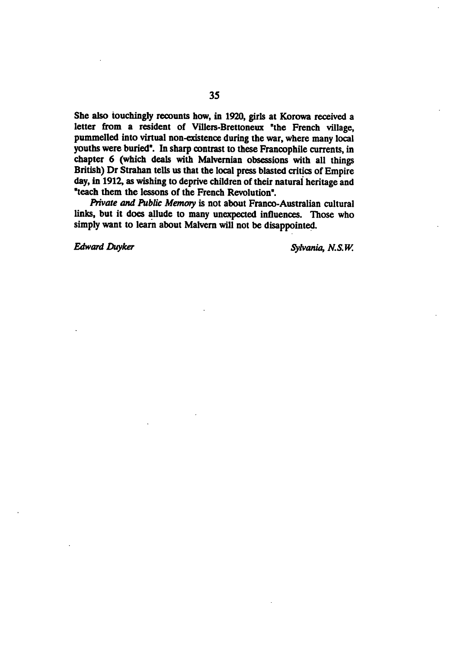She also touchingly recounts how, in 1920, girls at Korowa received a letter from a resident of Villers-Brettoneux "the French village, pummelled into virtual non-existence during the war, where many local youths were buried". In sharp contrast to these Francophile currents, in chapter 6 (which deals with Malvernian obsessions with all things British) Dr Strahan tells us that the local press blasted critics of Empire day, in 1912, as wishing to deprive children of their natural heritage and "teach them the lessons of the French Revolution".

Private and Public Memory is not about Franco-Australian cultural links, but it does allude to many unexpected influences. Those who simply want to learn about Malvern will not be disappointed.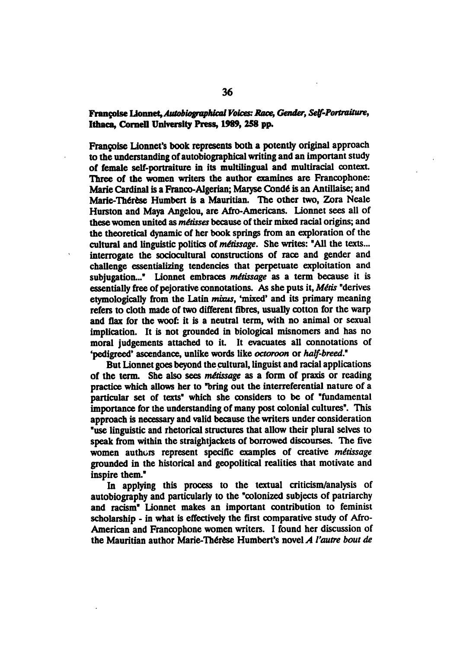## Françoise Lionnet, Autobiographical Voices: Race, Gender, Self-Portraiture, Ithaca, Cornell University Press, 1989, 258 pp.

Francoise Lionnet's book represents both a potently original approach to the understanding of autobiographical writing and an important study of female self-portraiture in its multilingual and multiracial context Three of the women writers the author examines are Francophone: Marie Cardinal is a Franco-Algerian; Maryse Condé is an Antillaise; and Marie-Thérèse Humbert is a Mauritian. The other two, Zora Neale Hurston and Maya Angelou, are Afro-Americans. Lionnet sees all of these women united as *métisses* because of their mixed racial origins; and the theoretical dynamic of her book springs from an exploration of the cultural and linguistic politics of métissage. She writes: "All the texts... interrogate the sociocultural constructions of race and gender and challenge essentializing tendencies that perpetuate exploitation and subjugation..." Lionnet embraces métissage as a term because it is essentially free of pejorative connotations. As she puts it, Métis "derives etymologically from the Latin mixus, 'mixed' and its primary meaning refers to cloth made of two different fibres, usually cotton for the warp and flax for the woof: it is a neutral term, with no animal or sexual implication. It is not grounded in biological misnomers and has no moral judgements attached to it. It evacuates all connotations of 'pedigreed' ascendance, unlike words like octoroon or half-breed."

But Lionnet goes beyond the cultural, linguist and racial applications of the term. She also sees *métissage* as a form of praxis or reading practice which allows her to "bring out the interreferential nature of a particular set of texts" which she considers to be of "fundamental importance for the understanding of many post colonial cultures". This approach is necessary and valid because the writers under consideration "use linguistic and rhetorical structures that allow their plural selves to speak from within the straightjackets of borrowed discourses. The five women authors represent specific examples of creative métissage grounded in the historical and geopolitical realities that motivate and inspire them."

In applying this process to the textual criticism/analysis of autobiography and particularly to the "colonized subjects of patriarchy and racism" Lionnet makes an important contribution to feminist scholarship - in what is effectively the first comparative study of Afro-American and Francophone women writers. I found her discussion of the Mauritian author Marie-Thérèse Humbert's novel  $A$  l'autre bout de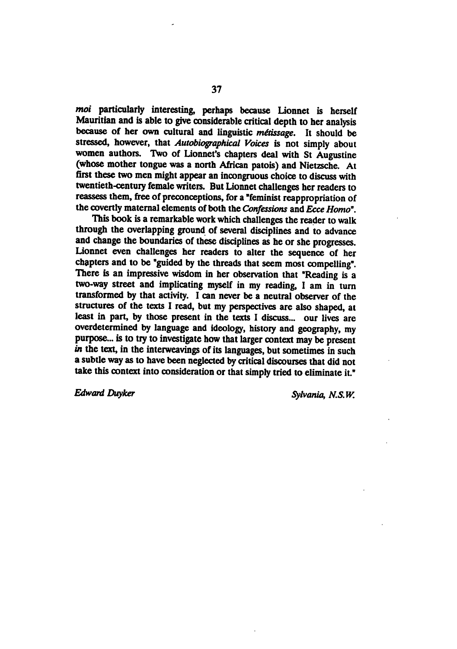moi particularly interesting, perhaps because Lionnet is herself Mauritian and is able to give considerable critical depth to her analysis because of her own cultural and linguistic métissage. It should be stressed, however, that Autobiographical Voices is not simply about women authors. Two of Lionnet's chapters deal with St Augustine (whose mother tongue was a north African patois) and Nietzsche. At first these two men might appear an incongruous choice to discuss with twentieth-century female writers. But Lionnet challenges her readers to reassess them, free of preconceptions, for a "feminist reappropriation of the covertly maternal elements of both the Confessions and Ecce Homo".

This book is a remarkable work which challenges the reader to walk through the overlapping ground of several disciplines and to advance and change the boundaries of these disciplines as he or she progresses. Lionnet even challenges her readers to alter the sequence of her chapters and to be "guided by the threads that seem most compelling". There is an impressive wisdom in her observation that "Reading is a two-way street and implicating myself in my reading, I am in turn transformed by that activity. I can never be a neutral observer of the structures of the texts I read, but my perspectives are also shaped, at least in part, by those present in the texts I discuss... our lives are overdetermined by language and ideology, history and geography, my purpose... is to try to investigate how that larger context may be present in the text, in the interweavings of its languages, but sometimes in such a subtle way as to have been neglected by critical discourses that did not take this context into consideration or that simply tried to eliminate it."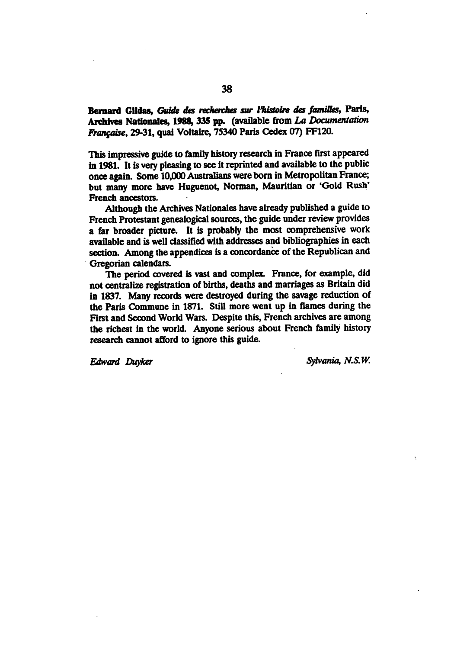Bernard Gildas, Guide des recherches sur l'histoire des familles, Paris, Archives Nationales, 1988, 335 pp. (available from La Documentation Franqaise, 29-31, quai Voltaire, 75340 Paris Cedex 07) FF120.

This impressive guide to family history research in France first appeared in 1981. It is very pleasing to see it reprinted and available to the public once again. Some 10,000 Australians were born in Metropolitan France; but many more have Huguenot, Norman, Mauritian or 'Gold Rush' French ancestors.

Although the Archives Nationales have already published a guide to French Protestant genealogical sources, the guide under review provides a far broader picture. It is probably the most comprehensive work available and is well classified with addresses and bibliographies in each section. Among the appendices is a concordance of the Republican and Gregorian calendars.

The period covered is vast and complex. France, for example, did not centralize registration of births, deaths and marriages as Britain did in 1837. Many records were destroyed during the savage reduction of the Paris Commune in 1871. Still more went up in flames during the First and Second World Wars. Despite this, French archives are among the richest in the world. Anyone serious about French family history research cannot afford to ignore this guide.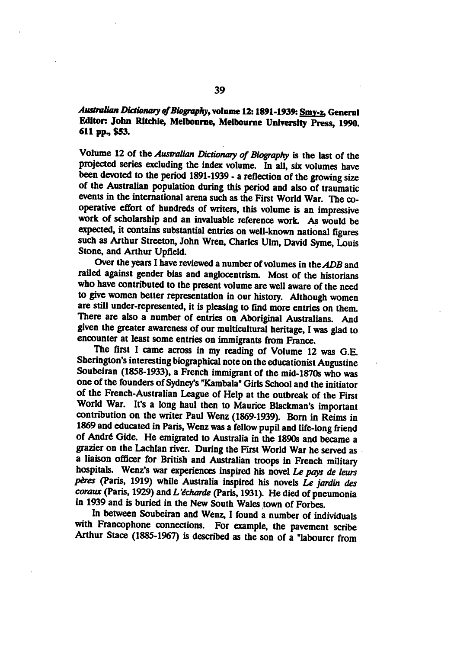## Australian Dictionary of Biography, volume 12: 1891-1939: Smy-z, General Editor: John Ritchie, Melbourne, Melbourne University Press, 1990. 611 pp., \$53.

Volume 12 of the Australian Dictionary of Biography is the last of the projected series excluding the index volume. In all, six volumes have been devoted to the period 1891-1939 - a reflection of the growing size of the Australian population during this period and also of traumatic events in the international arena such as the First World War. The co operative effort of hundreds of writers, this volume is an impressive work of scholarship and an invaluable reference work. As would be expected, it contains substantial entries on well-known national figures such as Arthur Streeton, John Wren, Charles Ulm, David Syme, Louis Stone, and Arthur Upfield.

Over the years I have reviewed a number of volumes in the ADB and railed against gender bias and anglocentrism. Most of the historians who have contributed to the present volume are well aware of the need to give women better representation in our history. Although women are still under-represented, it is pleasing to find more entries on them. There are also a number of entries on Aboriginal Australians. And given the greater awareness of our multicultural heritage, I was glad to encounter at least some entries on immigrants from France.

The first I came across in my reading of Volume 12 was G.E. Sherington's interesting biographical note on the educationist Augustine Soubeiran (1858-1933), a French immigrant of the mid-1870s who was one of the founders of Sydney's "Kambala" Girls School and the initiator of the French-Australian League of Help at the outbreak of the First World War. It's a long haul then to Maurice Blackman's important contribution on the writer Paul Wenz (1869-1939). Born in Reims in 1869 and educated in Paris, Wenz was a fellow pupil and life-long friend of André Gide. He emigrated to Australia in the 1890s and became a grazier on the Lachlan river. During the First World War he served as a liaison officer for British and Australian troops in French military hospitals. Wenz's war experiences inspired his novel Le pays de leurs pères (Paris, 1919) while Australia inspired his novels Le jardin des  $coraux$  (Paris, 1929) and L'écharde (Paris, 1931). He died of pneumonia in 1939 and is buried in the New South Wales town of Forbes.

In between Soubeiran and Wenz, I found a number of individuals with Francophone connections. For example, the pavement scribe Arthur Stace (1885-1967) is described as the son of a "labourer from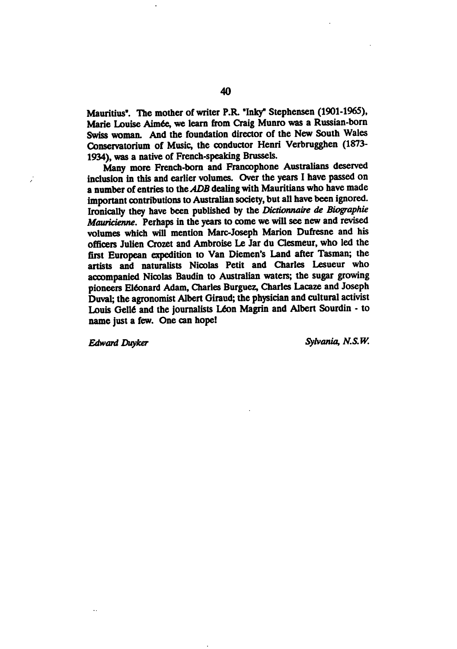Mauritius". The mother of writer P.R. "Inky" Stephensen (1901-1965), Marie Louise Aimée, we learn from Craig Munro was a Russian-born Swiss woman. And the foundation director of the New South Wales Conservatorium of Music, the conductor Henri Verbrugghen (1873- 1934), was a native of French-speaking Brussels.

Many more French-born and Francophone Australians deserved inclusion in this and earlier volumes. Over the years I have passed on a number of entries to the ADB dealing with Mauritians who have made important contributions to Australian society, but all have been ignored. Ironically they have been published by the Dictionnaire de Biographie Mauricienne. Perhaps in the years to come we will see new and revised volumes which will mention Marc-Joseph Marion Dufresne and his officers Julien Crozet and Ambroise Le Jar du Clesmeur, who led the first European expedition to Van Diemen's Land after Tasman; the artists and naturalists Nicolas Petit and Charles Lesueur who accompanied Nicolas Baudin to Australian waters; the sugar growing pioneers Elfonard Adam, Charles Burguez, Charles Lacaze and Joseph Duval; the agronomist Albert Giraud; the physician and cultural activist Louis Gellé and the journalists Léon Magrin and Albert Sourdin - to name just a few. One can hope!

 $\overline{\phantom{a}}$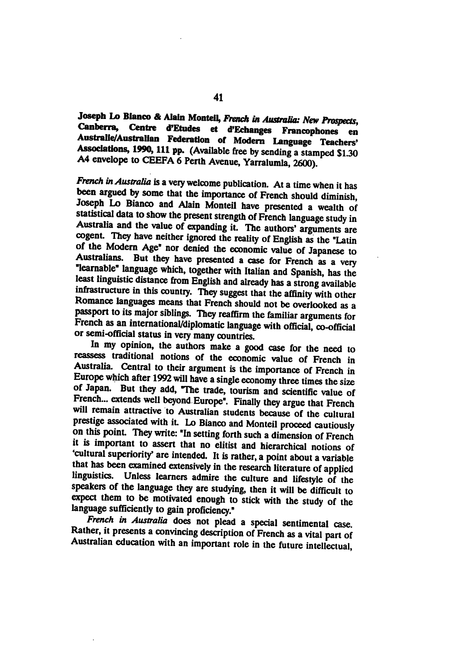Joseph Lo Bianco & Alain Monteil, French in Australia: New Prospects, Canberra, Centre d'Etudes et d'Echanges Francophones en Australle/Australlan Federation of Modern Language Teachers' Associations, 1990, 111 pp. (Available free by sending a stamped  $$1.30$ A4 envelope to CEEFA 6 Perth Avenue, Yarralumla, 2600).

French in Australia is a very welcome publication. At a time when it has been argued by some that the importance of French should diminish Joseph Lo Bianco and Alain Monteil have presented a wealth of statistical data to show the present strength of French language study in Australia and the value of expanding it. The authors' arguments are cogent. They have neither ignored the reality of English as the "Latin of the Modern Age\* nor denied the economic value of Japanese to Australians. But they have presented a case for French as a very "learnable" language which, together with Italian and Spanish, has the least linguistic distance from English and already has a strong available infrastructure in this country. They suggest that the affinity with other Romance languages means that French should not be overlooked as a passport to its major siblings. They reaffirm the familiar arguments for French as an international/diplomatic language with official, co-official or semi-official status in very many countries.

In my opinion, the authors make a good case for the need to reassess traditional notions of the economic value of French in Australia. Central to their argument is the importance of French in Europe which after 1992 will have a single economy three times the size of Japan. But they add, "The trade, tourism and scientific value of French... extends well beyond Europe". Finally they argue that French will remain attractive to Australian students because of the cultural prestige associated with it. Lo Bianco and Monteil proceed cautiously on this point. They write: "In setting forth such a dimension of French it is important to assert that no elitist and hierarchical notions of 'cultural superiority' are intended. It is rather, a point about a variable that has been examined extensively in the research literature of applied linguistics. Unless learners admire the culture and lifestyle of the speakers of the language they are studying, then it will be difficult to expect them to be motivated enough to stick with the study of the language sufficiently to gain proficiency."

French in Australia does not plead a special sentimental case. Rather, it presents a convincing description of French as a vital part of Australian education with an important role in the future intellectual